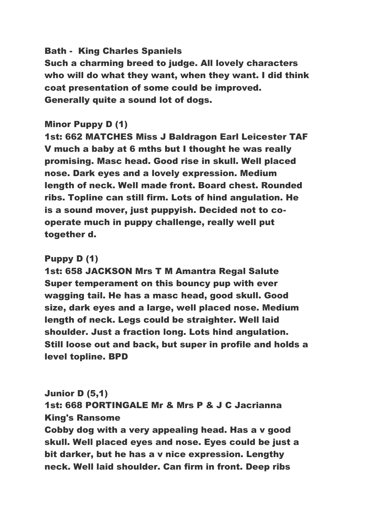### Bath - King Charles Spaniels

Such a charming breed to judge. All lovely characters who will do what they want, when they want. I did think coat presentation of some could be improved. Generally quite a sound lot of dogs.

#### Minor Puppy D (1)

1st: 662 MATCHES Miss J Baldragon Earl Leicester TAF V much a baby at 6 mths but I thought he was really promising. Masc head. Good rise in skull. Well placed nose. Dark eyes and a lovely expression. Medium length of neck. Well made front. Board chest. Rounded ribs. Topline can still firm. Lots of hind angulation. He is a sound mover, just puppyish. Decided not to cooperate much in puppy challenge, really well put together d.

#### Puppy D (1)

1st: 658 JACKSON Mrs T M Amantra Regal Salute Super temperament on this bouncy pup with ever wagging tail. He has a masc head, good skull. Good size, dark eyes and a large, well placed nose. Medium length of neck. Legs could be straighter. Well laid shoulder. Just a fraction long. Lots hind angulation. Still loose out and back, but super in profile and holds a level topline. BPD

#### Junior D (5,1)

1st: 668 PORTINGALE Mr & Mrs P & J C Jacrianna King's Ransome

Cobby dog with a very appealing head. Has a v good skull. Well placed eyes and nose. Eyes could be just a bit darker, but he has a v nice expression. Lengthy neck. Well laid shoulder. Can firm in front. Deep ribs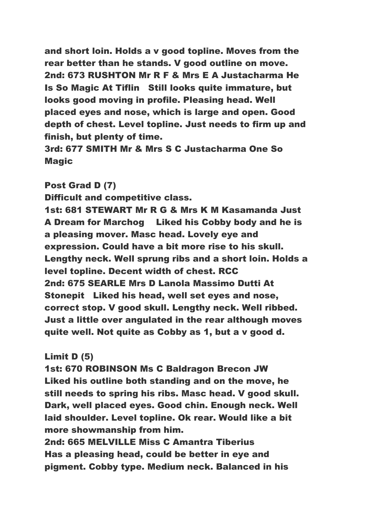and short loin. Holds a v good topline. Moves from the rear better than he stands. V good outline on move. 2nd: 673 RUSHTON Mr R F & Mrs E A Justacharma He Is So Magic At Tiflin Still looks quite immature, but looks good moving in profile. Pleasing head. Well placed eyes and nose, which is large and open. Good depth of chest. Level topline. Just needs to firm up and finish, but plenty of time.

3rd: 677 SMITH Mr & Mrs S C Justacharma One So **Magic** 

Post Grad D (7)

Difficult and competitive class.

1st: 681 STEWART Mr R G & Mrs K M Kasamanda Just A Dream for Marchog Liked his Cobby body and he is a pleasing mover. Masc head. Lovely eye and expression. Could have a bit more rise to his skull. Lengthy neck. Well sprung ribs and a short loin. Holds a level topline. Decent width of chest. RCC 2nd: 675 SEARLE Mrs D Lanola Massimo Dutti At Stonepit Liked his head, well set eyes and nose, correct stop. V good skull. Lengthy neck. Well ribbed. Just a little over angulated in the rear although moves quite well. Not quite as Cobby as 1, but a v good d.

## Limit D (5)

1st: 670 ROBINSON Ms C Baldragon Brecon JW Liked his outline both standing and on the move, he still needs to spring his ribs. Masc head. V good skull. Dark, well placed eyes. Good chin. Enough neck. Well laid shoulder. Level topline. Ok rear. Would like a bit more showmanship from him.

2nd: 665 MELVILLE Miss C Amantra Tiberius Has a pleasing head, could be better in eye and pigment. Cobby type. Medium neck. Balanced in his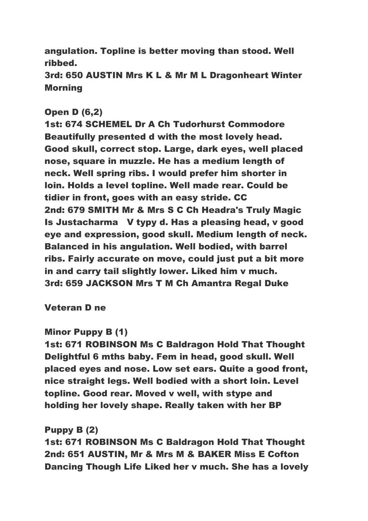angulation. Topline is better moving than stood. Well ribbed.

3rd: 650 AUSTIN Mrs K L & Mr M L Dragonheart Winter Morning

### Open D (6,2)

1st: 674 SCHEMEL Dr A Ch Tudorhurst Commodore Beautifully presented d with the most lovely head. Good skull, correct stop. Large, dark eyes, well placed nose, square in muzzle. He has a medium length of neck. Well spring ribs. I would prefer him shorter in loin. Holds a level topline. Well made rear. Could be tidier in front, goes with an easy stride. CC 2nd: 679 SMITH Mr & Mrs S C Ch Headra's Truly Magic Is Justacharma V typy d. Has a pleasing head, v good eye and expression, good skull. Medium length of neck. Balanced in his angulation. Well bodied, with barrel ribs. Fairly accurate on move, could just put a bit more in and carry tail slightly lower. Liked him v much. 3rd: 659 JACKSON Mrs T M Ch Amantra Regal Duke

Veteran D ne

### Minor Puppy B (1)

1st: 671 ROBINSON Ms C Baldragon Hold That Thought Delightful 6 mths baby. Fem in head, good skull. Well placed eyes and nose. Low set ears. Quite a good front, nice straight legs. Well bodied with a short loin. Level topline. Good rear. Moved v well, with stype and holding her lovely shape. Really taken with her BP

Puppy B (2)

1st: 671 ROBINSON Ms C Baldragon Hold That Thought 2nd: 651 AUSTIN, Mr & Mrs M & BAKER Miss E Cofton Dancing Though Life Liked her v much. She has a lovely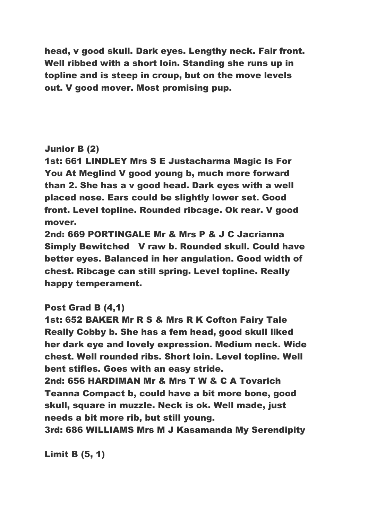head, v good skull. Dark eyes. Lengthy neck. Fair front. Well ribbed with a short loin. Standing she runs up in topline and is steep in croup, but on the move levels out. V good mover. Most promising pup.

## Junior B (2)

1st: 661 LINDLEY Mrs S E Justacharma Magic Is For You At Meglind V good young b, much more forward than 2. She has a v good head. Dark eyes with a well placed nose. Ears could be slightly lower set. Good front. Level topline. Rounded ribcage. Ok rear. V good mover.

2nd: 669 PORTINGALE Mr & Mrs P & J C Jacrianna Simply Bewitched V raw b. Rounded skull. Could have better eyes. Balanced in her angulation. Good width of chest. Ribcage can still spring. Level topline. Really happy temperament.

Post Grad B (4,1)

1st: 652 BAKER Mr R S & Mrs R K Cofton Fairy Tale Really Cobby b. She has a fem head, good skull liked her dark eye and lovely expression. Medium neck. Wide chest. Well rounded ribs. Short loin. Level topline. Well bent stifles. Goes with an easy stride.

2nd: 656 HARDIMAN Mr & Mrs T W & C A Tovarich Teanna Compact b, could have a bit more bone, good skull, square in muzzle. Neck is ok. Well made, just needs a bit more rib, but still young.

3rd: 686 WILLIAMS Mrs M J Kasamanda My Serendipity

Limit B (5, 1)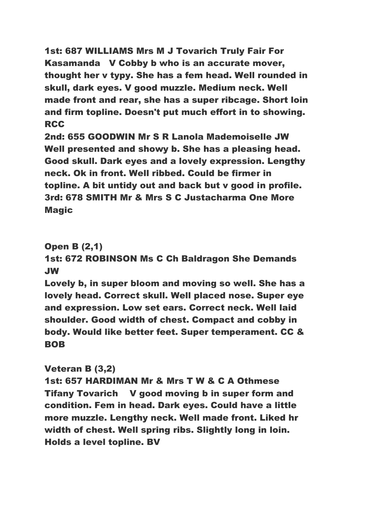1st: 687 WILLIAMS Mrs M J Tovarich Truly Fair For Kasamanda V Cobby b who is an accurate mover, thought her v typy. She has a fem head. Well rounded in skull, dark eyes. V good muzzle. Medium neck. Well made front and rear, she has a super ribcage. Short loin and firm topline. Doesn't put much effort in to showing. **RCC** 

2nd: 655 GOODWIN Mr S R Lanola Mademoiselle JW Well presented and showy b. She has a pleasing head. Good skull. Dark eyes and a lovely expression. Lengthy neck. Ok in front. Well ribbed. Could be firmer in topline. A bit untidy out and back but v good in profile. 3rd: 678 SMITH Mr & Mrs S C Justacharma One More Magic

## Open B (2,1)

1st: 672 ROBINSON Ms C Ch Baldragon She Demands JW

Lovely b, in super bloom and moving so well. She has a lovely head. Correct skull. Well placed nose. Super eye and expression. Low set ears. Correct neck. Well laid shoulder. Good width of chest. Compact and cobby in body. Would like better feet. Super temperament. CC & BOB

## Veteran B (3,2)

1st: 657 HARDIMAN Mr & Mrs T W & C A Othmese Tifany Tovarich V good moving b in super form and condition. Fem in head. Dark eyes. Could have a little more muzzle. Lengthy neck. Well made front. Liked hr width of chest. Well spring ribs. Slightly long in loin. Holds a level topline. BV